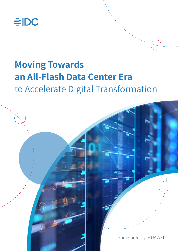

# **Moving Towards an All-Flash Data Center Era** to Accelerate Digital Transformation

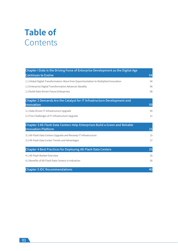# **Table of**  Contents

| Chapter I Data is the Driving Force of Enterprise Development as the Digital Age                           |    |
|------------------------------------------------------------------------------------------------------------|----|
| <b>Continues to Evolve</b>                                                                                 | 04 |
| 1.1 Global Digital Transformation: Move from Experimentation to Multiplied Innovation                      | 04 |
| 1.2 Enterprise Digital Transformation Advances Steadily                                                    | 06 |
| 1.3 Build Data-Driven Future Enterprises                                                                   | 08 |
| Chapter 2 Demands Are the Catalyst for IT Infrastructure Development and<br>Innovation                     | 09 |
| 2.1 Data-Driven IT Infrastructure Upgrade                                                                  | 09 |
| 2.2 Five Challenges of IT Infrastructure Upgrade                                                           | 11 |
| Chapter 3 All-Flash Data Centers Help Enterprises Build a Green and Reliable<br><b>Innovation Platform</b> | 15 |
| 3.1 All-Flash Data Centers Upgrade and Revamp IT Infrastructure                                            | 15 |
| 3.2 All-Flash Data Center Trends and Advantages                                                            | 17 |
| <b>Chapter 4 Best Practices for Deploying All-Flash Data Centers</b>                                       | 25 |
| 4.1 All-Flash Market Overview                                                                              | 25 |
| 4.2 Benefits of All-Flash Data Centers in Industries                                                       | 26 |
| <b>Chapter 5 IDC Recommendations</b>                                                                       | 40 |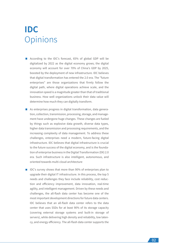# **IDC Opinions**

- According to the IDC's forecast, 65% of global GDP will be digitalized by 2022 as the digital economy grows; the digital economy will account for over 70% of China's GDP by 2025, boosted by the deployment of new infrastructure. IDC believes that digital transformation has entered the 2.0 era. The "future enterprises" are those organizations that firmly follow the digital path, where digital operations achieve scale, and the innovation speed is a magnitude greater than that of traditional business. How well organizations unlock their data value will determine how much they can digitally transform.
- As enterprises progress in digital transformation, data generation, collection, transmission, processing, storage, and management have undergone huge changes. These changes are fueled by things such as explosive data growth, diverse data types, higher data transmission and processing requirements, and the increasing complexity of data management. To address these challenges, enterprises need a modern, future-facing digital infrastructure. IDC believes that digital infrastructure is crucial to the future success of the digital economy, and is the foundation of enterprise business in the Digital Transformation (DX) 2.0 era. Such infrastructure is also intelligent, autonomous, and oriented towards multi-cloud architecture
- **IDC's survey shows that more than 90% of enterprises plan to** upgrade their digital IT infrastructure. In this process, the top 5 needs and challenges they face include reliability, cost reduction and efficiency improvement, data innovation, real-time agility, and intelligent management. Driven by these needs and challenges, the all-flash data center has become one of the most important development directions for future data centers. IDC believes that an all-flash data center refers to the data center that uses SSDs for at least 90% of its storage capacity (covering external storage systems and built-in storage of servers), while delivering high density and reliability, low latency, and energy efficiency. The all-flash data center supports the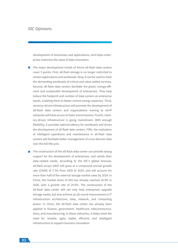## IDC Opinions

development of businesses and applications, and helps enterprises maximize the value of data innovation.

- $\blacksquare$  The major development trends of future all-flash data centers cover 5 points. First, all-flash storage is no longer restricted to certain applications and workloads. Now, it can be used to meet the demanding workloads of critical and value-added services. Second, all-flash data centers facilitate the green, energy-efficient and sustainable development of enterprises. They help reduce the footprint and number of data centers an enterprise needs, enabling them to better control energy expenses. Third, memory-driven infrastructure will promote the development of all-flash data centers and organizations moving to all-IP networks will have access to faster transmissions. Fourth, memory-driven infrastructure is going mainstream. With enough flexibility, it provides optimal latency for workloads and drives the development of all-flash data centers. Fifth, the realization of intelligent operations and maintenance in all-flash data centers will facilitate better management of cross-domain data over the full lifecycle.
- $\blacksquare$  The construction of the all-flash data center can provide strong support for the development of enterprises, and satisfy their data-related needs. According to the IDC's global forecast, all-flash arrays (AFA) will grow at a compound annual growth rate (CAGR) of 7.5% from 2020 to 2024, and will account for more than half of the external storage market sales by 2024. In China, the market share of AFA has already reached 18.9% in 2020, with a growth rate of 24.0%. The construction of the all-flash data center will not only help enterprises upgrade storage media, but also achieve an all-round improvement in IT infrastructure architecture, data, network, and computing power. In China, the all-flash data center has already been applied in finance, government, healthcare, telecommunications, and manufacturing. In these industries, it helps meet the need for reliable, agile, stable, efficient, and intelligent infrastructure to support business innovation.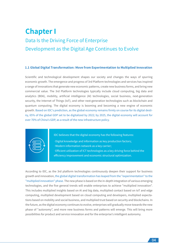## **Chapter I** Data Is the Driving Force of Enterprise Development as the Digital Age Continues to Evolve

#### **1.1 Global Digital Transformation: Move from Experimentation to Multiplied Innovation**

Scientific and technological development shapes our society and changes the ways of spurring economic growth. The emergence and progress of 3rd Platform technologies and services has inspired a range of innovations that generate new economic patterns, create new business forms, and bring new commercial value. The 3rd Platform technologies typically include cloud computing, big data and analytics (BDA), mobility, artificial intelligence (AI) technologies, social business, next-generation security, the Internet of Things (IoT), and other next-generation technologies such as blockchain and quantum computing. The digital economy is booming and becoming a new engine of economic growth. Based on IDC's prediction, as the global economy remains firmly on course for its digital destiny, 65% of the global GDP set to be digitalized by 2022; by 2025, the digital economy will account for over 70% of China's GDP, as a result of the new infrastructure policy.



IDC believes that the digital economy has the following features:

- ·Digital knowledge and information as key production factors;
- ·Modern information network as a key carrier;
- ·Efficient utilization of ICT technologies as a key driving force behind the
- efficiency improvement and economic structural optimization.

According to IDC, as the 3rd platform technologies continuously deepen their support for business growth and innovation, the global digital transformation has leaped from the "experimentation" to the "multiplied innovation" phase. The new phase is based on the in-depth integration of various emerging technologies, and the five general trends will enable enterprises to achieve "multiplied innovation". This includes multiplied insights based on AI and big data, multiplied contact based on IoT and edge computing, multiplied development based on cloud computing and developers, multiplied expectations based on mobility and social business, and multiplied trust based on security and blockchains. In the future, as the digital economy continues to evolve, enterprises will gradually move towards the new phase of "autonomy", and more new business forms and patterns will emerge. This will bring more possibilities for product and service innovation and for the enterprise's intelligent autonomy.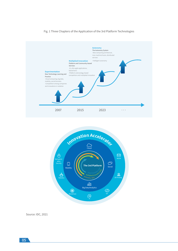#### Fig. 1 Three Chapters of the Application of the 3rd Platform Technologies





Source: IDC, 2021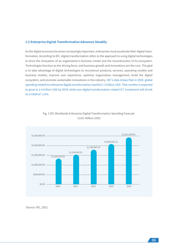#### **1.2 Enterprise Digital Transformation Advances Steadily**

As the digital economy becomes increasingly important, enterprises must accelerate their digital transformation. According to IDC, digital transformation refers to the approach to using digital technologies to drive the innovation of an organization's business model and the reconstruction of its ecosystem. Technologies function as the driving force, and business growth and innovations are the core. The goal is to take advantage of digital technologies to reconstruct products, services, operating models and business models, improve user experience, optimize organization management, build the digital ecosystem, and promote sustainable innovations in the industry. IDC's data shows that in 2020, global spending related to enterprise digital transformation reached 1.3 trillion USD. That number is expected to grow to 2.4 trillion USD by 2024, while non-digital transformation related ICT investment will shrink at a CAGR of -1.6%.



## Fig. 2 IDC Worldwide Enterprise Digital Transformation Spending Forecast (Unit: Million USD)

Source: IDC, 2021

06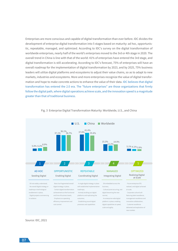Enterprises are more conscious and capable of digital transformation than ever before. IDC divides the development of enterprise digital transformation into 5 stages based on maturity: ad hoc, opportunistic, repeatable, managed, and optimized. According to IDC's survey on the digital transformation of worldwide enterprises, nearly half of the world's enterprises moved to the 3rd or 4th stage in 2020. The overall trend in China is line with that of the world: 41% of enterprises have entered the 3rd stage, and digital transformation is still accelerating. According to IDC's forecast, 75% of enterprises will have an overall roadmap for the implementation of digital transformation by 2023, and by 2025, 75% business leaders will utilize digital platforms and ecosystems to adjust their value chains, so as to adapt to new markets, industries and ecosystems. More and more enterprises recognize the value of digital transformation and hope to make concrete actions to enhance the value of their data. IDC believes that digital transformation has entered the 2.0 era. The "future enterprises" are those organizations that firmly follow the digital path, where digital operations achieve scale, and the innovation speed is a magnitude greater than that of traditional business.



Fig. 3 Enterprise Digital Transformation Maturity: Worldwide, U.S., and China

Source: IDC, 2021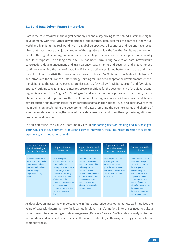#### **1.3 Build Data-Driven Future Enterprises**

Data is the core resource in the digital economy era and a key driving force behind sustainable digital development. With the further development of the Internet, data becomes the carrier of the virtual world and highlights the real world. From a global perspective, all countries and regions have recognized that data is more than just a product of the digital era — it is the fuel that facilitates the development of the digital economy, and a fundamental strategic resource for the development of a country and its enterprises. For a long time, the U.S. has been formulating policies on data infrastructure construction, data management and transparency, data sharing and security, and e-government, continuously mining the value of data. The EU is also actively exploring better ways to use and share the value of data. In 2020, the European Commission released "A Whitepaper on Artificial Intelligence" and introduced the "European Data Strategy", aiming for Europe to adapt to the development trends of the digital era. The UK has released strategies such as "Digital UK", "Digital Charter", and "UK Digital Strategy", striving to regularize the Internet, create conditions for the development of the digital economy, achieve a leap from "digital" to "intelligent", and ensure the steady progress of the country. Lastly, China is committed to promoting the development of the digital economy. China considers data as a key production factor, emphasizes the importance of data on the national level, and puts forward three main points on accelerating the development of data: promoting the open exchange and sharing of government data, enhancing the value of social data resources, and strengthening the integration and protection of data resources.

For an enterprise, the value of data mainly lies in supporting decision-making and business goal setting, business development, product and service innovation, the all-round optimization of customer experience, and innovation at scale.

| <b>Support Corporate</b><br>Decision-Making and<br><b>Business Goal Setting</b>                                                                          | <b>Support Business</b><br>Developmen                                                                                                                                                                                                                                                                           | <b>Support Product and</b><br><b>Service Innovation</b>                                                                                                                                                                                                                          | Support All-Round<br>Optimization of<br><b>Customer Experience</b>                                                                                              | <b>Support Innovation</b><br>at Scale                                                                                                                                                                                                                                                                               |
|----------------------------------------------------------------------------------------------------------------------------------------------------------|-----------------------------------------------------------------------------------------------------------------------------------------------------------------------------------------------------------------------------------------------------------------------------------------------------------------|----------------------------------------------------------------------------------------------------------------------------------------------------------------------------------------------------------------------------------------------------------------------------------|-----------------------------------------------------------------------------------------------------------------------------------------------------------------|---------------------------------------------------------------------------------------------------------------------------------------------------------------------------------------------------------------------------------------------------------------------------------------------------------------------|
| Data helps enterprises<br>gain insights into social<br>development rules and<br>market trends to better<br>make strategic<br>deployment in key<br>areas. | Data mining and<br>analytics help to provide<br>resources for the<br>development and release<br>of the next-generation<br>business, accelerating<br>the internal operation<br>efficiency and the<br>business implementation<br>and iteration, and<br>optimizing the capability<br>to process business<br>flows. | Data promotes product<br>and service innovation<br>and optimization while<br>achieving fast product<br>and service iteration. It<br>also facilitates accurate<br>delivery of customized<br>products and services,<br>and improves the<br>chances of success for<br>new products. | Data helps enterprises<br>gain insights into<br>customers to better<br>provide the customers<br>with customized services<br>and achieve customer<br>excellence. | Enterprises can form a<br>data-centric insight<br>mechanism, optimize<br>the management<br>process, integrate<br>relevant resources and<br>empower business<br>innovations, so as to<br>create differentiated<br>values for customers and<br>the market, and build<br>the core competitive-<br>ness of enterprises. |

As data plays an increasingly important role in future enterprise development, how well it utilizes the value of data will determine how far it can go in digital transformation. Enterprises need to build a data-driven culture centering on data management, Data as a Service (DaaS), and data analytics to spot and get data, and fully explore and achieve the value of data. Only in this way can they guarantee future competitiveness.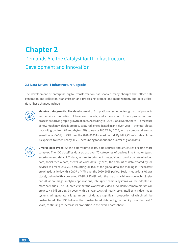## **Chapter 2**

## Demands Are the Catalyst for IT Infrastructure Development and Innovation

#### **2.1 Data-Driven IT Infrastructure Upgrade**

The development of enterprise digital transformation has sparked many changes that affect data generation and collection, transmission and processing, storage and management, and data utilization. These changes include:



**Massive data growth:** The development of 3rd platform technologies, growth of products and services, innovation of business models, and acceleration of data production and process are driving rapid growth of data. According to IDC's Global DataSphere — a measure of how much new data is created, captured, or replicated in any given year — the total global data will grow from 64 zettabytes (ZB) to nearly 180 ZB by 2025, with a compound annual growth rate (CAGR) of 23% over the 2020-2025 forecast period. By 2025, China's data volume is expected to reach nearly 41 ZB, accounting for about one quarter of global data.

**Diverse data types:** As the data volume soars, data sources and structures become more complex. The IDC classifies data across over 70 categories of devices into 6 major types: entertainment data, IoT data, non-entertainment image/video, productivity/embedded data, social media data, as well as voice data. By 2025, the amount of data created by IoT devices will reach 26.6 ZB, accounting for 15% of the global data and making IoT the fastest growing data field, with a CAGR of 47% over the 2020-2025 period. Social media data follows closely behind with a projected CAGR of 35.4%. With the rise of machine vision technologies and AI video image analytics applications, intelligent camera systems will be adopted in more scenarios. The IDC predicts that the worldwide video surveillance camera market will grow to 44 billion USD by 2025, with a 5-year CAGR of nearly 13%. Intelligent video image systems will generate a large amount of data, a significant proportion of which will be unstructured. The IDC believes that unstructured data will grow quickly over the next 5 years, continuing to increase its proportion in the overall datasphere.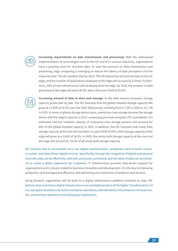

**Increasing requirements on data transmission and processing:** With the widespread implementation of technologies such as the IoT and AI in various industries, organizations have a growing need for real-time data. To ease the pressure on data transmission and processing, edge computing is emerging to reduce the latency of data perception and the response time. The IDC predicts that by 2023, 70% of enterprises will process data at the IoT edge, and the number of applications deployed at the edge will increase by 8 times. Furthermore, 50% of new infrastructure will be deployed at the edge. By 2025, the amount of data generated at the edge will reach 40 ZB, with a five-year CAGR of 33.4%.



**Increasing amount of data to store and manage:** As the data volume increases, storage capacity grows year by year. The IDC forecasts that the global installed storage capacity will grow at a CAGR of 19.2% over the 2020-2025 period, climbing from 6.7 ZB in 2020 to 16.1 ZB in 2025. In terms of global storage device types, enterprise-class storage became the storage device with the largest capacity in 2017, surpassing personal computer (PC) and tablets. It is estimated that the installed capacity of enterprise-class storage systems will account for 80% of the global installed capacity in 2025. In addition, the IDC forecasts that newly built storage capacity at the core will maintain a 5-year CAGR of 26%, while storage capacity at the edge will grow at a CAGR of 30.3%. In 2025, the newly built storage capacity at the core and the edge will account for 70.5% of all newly built storage capacity.

IDC believes that to successfully carry out digital transformation, companies need to build customer-centric, and data-driven digital services. Specifically, through the integration of digital and physical channels, data can be effectively collected, processed, and stored, and the value of data can be extracted to create a better experience for customers. IT infrastructure provides data-driven support for organizations and is closely related to business innovation and development. It is the key to improving production and management efficiency and optimizing user experience of products and services.

Going forward, organization will be built on a digital infrastructure platform centered on data. IDC believes that such future digital infrastructure is an inevitable product of the Digital Transformation 2.0 era, laying the foundation for future enterprise operations, with identified critical features of cloud-centric, autonomous operations and ubiquitous deployment.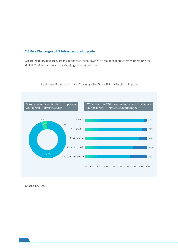### **2.2 Five Challenges of IT Infrastructure Upgrade**

According to IDC research, organizations face the following five major challenges when upgrading their digital IT infrastructure and overhauling their data centers.



Fig. 4 Major Requirements and Challenges for Digital IT Infrastructure Upgrade

Source: IDC, 2021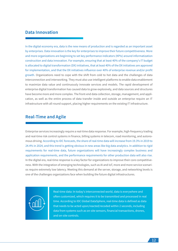## **Data Innovation**

In the digital economy era, data is the new means of production and is regarded as an important asset by enterprises. Data innovation is the key for enterprises to improve their future competitiveness. More and more organizations are beginning to set key performance indicators (KPIs) around informatization construction and data innovation. For example, ensuring that at least 40% of the company's IT budget is allocated to digital transformation (DX) initiatives, that at least 40% of the DX initiatives are approved for implementation, and that the DX initiatives influence over 40% of enterprise revenue and/or profit growth. Organizations need to cope with the shift from cold to hot data and the challenges of data interconnection and interworking. They must also use intelligent platforms to enable data enablement to maximize data value and continuously innovate services and models. The rapid development of enterprise digital transformation has caused data to grow explosively, and data sources and structures have become more and more complex. The front-end data collection, storage, management, and application, as well as the entire process of data transfer inside and outside an enterprise require an IT infrastructure with all-round support, placing higher requirements on the existing IT infrastructure.

## **Real-Time and Agile**

Enterprise services increasingly require a real-time data response. For example, high-frequency trading and real-time risk control systems in finance, billing systems in telecom, road monitoring, and autonomous driving. According to IDC forecasts, the share of real-time data will increase from 19.3% in 2019 to 24.4% in 2024, and this trend is getting obvious in new areas like big data analytics. In addition to rigid requirements for real-time data, future organizations will have increasingly complex business and application requirements, and the performance requirements for other production data will also rise. In the digital era, real-time response is a key factor for organizations to improve their core competitiveness. With the integration of emerging technologies, such as AI and IoT, more and more service scenarios require extremely low latency. Meeting this demand at the server, storage, and networking levels is one of the challenges organizations face when building the future digital infrastructures.



Real-time data: In today's interconnected world, data is everywhere and often customized, which requires it to be transmitted and processed in real time. According to IDC Global DataSphere, real-time data is defined as data that needs to be acted upon/reacted/recoded within 2 seconds, including data from systems such as on-site sensors, financial transactions, drones, and on-site controls.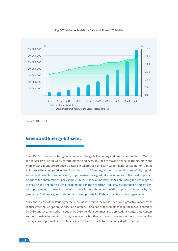

#### Fig. 5 Worldwide Real-Time Data and Share, 2015-2024

Source: IDC, 2021

## **Green and Energy-Efficient**

The COVID-19 pandemic has greatly impacted the global economy and production methods. More of the services we use for work, entertainment, and everyday life are moving online. With this, more and more organizations are producing better digital products and services for digital collaboration, aiming to improve their competitiveness. According to an IDC survey, among the benefits brought by digitalization, cost reduction and efficiency improvement have gradually become one of the most important priorities for organizations. For example, in the financial industry, banks are facing the challenge of increasing bad debt rates due to the pandemic. In the healthcare industry, cost reduction and efficiency improvement are two key benefits that will help them cope with the pressure brought by the pandemic. Building a green data center is a top priority for IT departments in many organizations.

Since the release of the Paris Agreement, countries around the world have taken proactive measures to reduce greenhouse gas emissions. For example, China has proposed plans to hit peak CO2 emissions by 2030 and become carbon neutral by 2060. As data volumes and applications surge, data centers support the development of the digital economy, but they also consume vast amounts of energy. The energy consumption of data centers has become an obstacle to sustainable digital development,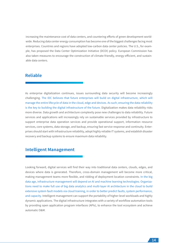increasing the maintenance cost of data centers, and countering efforts of green development worldwide. Reducing data center energy consumption has become one of the biggest challenges facing most enterprises. Countries and regions have adopted low-carbon data center policies. The U.S., for example, has proposed the Data Center Optimization Initiative (DCOI) policy. European Commission has also taken measures to encourage the construction of climate-friendly, energy-efficient, and sustainable data centers.

## **Reliable**

As enterprise digitalization continues, issues surrounding data security will become increasingly challenging. The IDC believes that future enterprises will build on digital infrastructure, which will manage the entire lifecycle of data in the cloud, edge and devices. As such, ensuring the data reliability is the key to building the digital infrastructure of the future. Digitalization makes data reliability risks more diverse. Data growth and architecture complexity pose new challenges to data reliability. Future services and applications will increasingly rely on sustainable services provided by infrastructure to support enterprise data operation services and provide operational support, information resource services, core systems, data storage, and backup, ensuring fast service response and continuity. Enterprises should start with infrastructure reliability, adopt highly reliable IT systems, and establish disaster recovery and backup systems to ensure maximum data reliability.

## **Intelligent Management**

Looking forward, digital services will find their way into traditional data centers, clouds, edges, and devices where data is generated. Therefore, cross-domain management will become more critical, making management teams more flexible, and ridding of deployment location constraints. In the big data age, infrastructure management will depend on AI and machine learning technologies. Organizations need to make full use of big data analytics and multi-layer AI architecture in the cloud to build extensive system fault models via cloud training, in order to better predict faults, system performance, and capacity. Intelligent management can support the portability of higher-level workloads and highly dynamic applications. The digital infrastructure integrates with a variety of workflow automation tools by providing open application program interfaces (APIs), to enhance the tool ecosystem and achieve automatic O&M.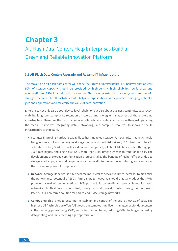## **Chapter 3** All-Flash Data Centers Help Enterprises Build a Green and Reliable Innovation Platform

#### **3.1 All-Flash Data Centers Upgrade and Revamp IT Infrastructure**

The move to an all-flash data center will shape the future of infrastructure. IDC believes that at least 90% of storage capacity should be provided by high-density, high-reliability, low-latency, and energy-efficient SSDs in an all-flash data center. This includes external storage systems and built-in storage of servers. The all-flash data center helps enterprises harness the power of emerging technologies and applications and maximize the value of data innovation.

Enterprises not only care about device-level reliability, but also about business continuity, data recoverability, long-term compliance retention of records, and the agile management of the entire data infrastructure. Therefore, the construction of an all-flash data center involves more than just upgrading the media; it involves integrating data, networking, and compute resources to innovate the IT infrastructure architecture.

- **Storage:** Improving hardware capabilities has impacted storage. For example, magnetic media has given way to flash memory as storage media, and hard disk drives (HDDs) lost their place to solid state disks (SSDs). SSDs offer a data access capability of about 100 times faster, throughput 100 times higher, and single-disk IOPS more than 1000 times higher than traditional disks. The development of storage communication protocols takes the benefits of higher efficiency due to storage media upgrades and larger network bandwidth to the next level, which greatly enhances the processing power of computers.
- **Network:** Storage IP networks have become more vital as service volumes increase. To maximize the performance potential of SSDs, future storage networks should gradually adopt the NVMe protocol instead of the conventional SCSI protocol. Faster media and protocols require faster networks. The NVMe over Fabrics (NoF) storage network provides higher throughput and lower latency. It is a preferred solution for end-to-end NVMe storage networks.
- **Computing:** This is key to ensuring the stability and control of the entire lifecycle of data. The high-end all-flash solution offers full-lifecycle automated, intelligent management for data centers in the planning, provisioning, O&M, and optimization phases, reducing O&M challenges caused by data pooling, and implementing agile optimization.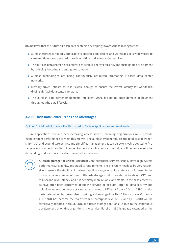IDC believes that the future all-flash data center is developing towards the following trends:

- All-flash storage is not only applicable to specific applications and workloads. It is widely used to carry multiple service scenarios, such as critical and value-added services.
- The all-flash data center helps enterprises achieve energy efficiency and sustainable development by reducing footprint and energy consumption.
- All-flash technologies are being continuously optimized, promoting IP-based data center networks.
- Memory-driven infrastructure is flexible enough to ensure the lowest latency for workloads, driving all-flash data centers forward.
- The all-flash data center implements intelligent O&M, facilitating cross-domain deployment throughout the data lifecycle.

#### **3.2 All-Flash Data Center Trends and Advantages**

#### Opinion 1: All-Flash Storage Is Not Restricted to Certain Applications and Workloads

Future applications demand ever-increasing access speeds, meaning organizations must provide higher system performance to meet this growth. The all-flash system reduces the total cost of ownership (TCO) and expenditure per I/O, and simplifies management. It can be extensively adopted to fit a range of environments, and is not limited to specific applications and workloads. It perfectly meets the demanding workloads of critical and value-added services.



**All-flash storage for critical services:** Core enterprise services usually have high system performance, reliability, and stability requirements. The IT system needs to be very responsive to ensure the stability of business applications; even a little latency could result in the loss of a large number of users. All-flash storage could provide million-level IOPS and millisecond-level latency, and it is definitely more reliable and stable. In the past, enterprises have often been concerned about the service life of SSDs—after all, data security and reliability are what enterprises care about the most. Different from HDDs, an SSD's service life is determined by the number of writing and erasing of the NAND flash storage. Currently, TLC NAND has become the mainstream of enterprise-level SSDs, and QLC NAND will be extensively adopted in cloud, CDN, and tiered storage solutions. Thanks to the continuous development of writing algorithms, the service life of an SSD is greatly extended at the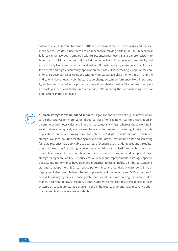software level, so it won't become a bottleneck in terms of the SSD's actual use and replacement cycles. Besides, since there are no mechanical moving parts in an SSD, mechanical failures can be avoided. Compared with HDDs, enterprise-level SSDs are more resistant to bumps and collisions, therefore, all-flash data centers have higher-level system stability and are less likely to encounter accidental data loss. All-flash storage systems are an ideal choice for critical and high-concurrency application scenarios. It is increasingly popular for core enterprise business. SSDs equipped with new ports, storage-class memory (SCM), and the end-to-end NVMe network architecture supercharge system performance. More importantly, all-flash isn't limited to the primary storage; it can also be used in DR solutions to accelerate backup speeds and shorten recovery time, better meeting the ever-increasing needs of applications in the digital age.



**All-flash storage for value-added services:** Organizations can expect digital infrastructure to be the catalyst for more value-added services. For example, real-time translation in e-commerce promotes sales and improves customer stickiness, whereas those working in social network can quickly analyze user behaviors for precision marketing. Innovative data applications are a key driving force for enterprises' digital transformation. Distributed storage is an ideal solution for storing massive amounts of unstructured data and achieving fast data response. It is applicable to a variety of scenarios such as databases and virtualization platforms that feature high concurrency. Additionally, a distributed architecture that decouples storage from computing improves resource utilization and adopts all-flash storage for higher reliability. The price erosion of SSD and improvements in storage capacity, density, and performance have upended industries across all fields. Distributed storage is starting to adopt more SSDs to reduce performance and bandwidth costs per GB. Such deployment also uses intelligent tiering to place data at the memory and SSDs according to access frequency, greatly increasing data read speeds and maximizing hardware performance. According to IDC's research, a large number of organizations prefer to use all-flash systems as secondary storage thanks to the enhanced backup and data recovery performance, and high storage system stability.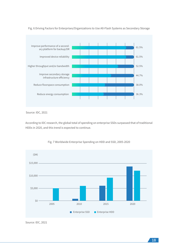

Fig. 6 Driving Factors for Enterprises/Organizations to Use All-Flash Systems as Secondary Storage

Source: IDC, 2021

According to IDC research, the global total of spending on enterprise SSDs surpassed that of traditional HDDs in 2020, and this trend is expected to continue.



#### Fig. 7 Worldwide Enterprise Spending on HDD and SSD, 2005-2020

Source: IDC, 2021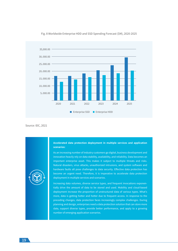

Fig. 8 Worldwide Enterprise HDD and SSD Spending Forecast (\$M), 2020-2025

Source: IDC, 2021

#### **Accelerated data protection deployment in multiple services and application scenarios:**

As an increasing number of industry customers go digital, business development and innovation heavily rely on data stability, availability, and reliability. Data becomes an important enterprise asset. This makes it subject to multiple threats and risks. Natural disasters, virus attacks, unauthorized intrusions, and system software and hardware faults all pose challenges to data security. Effective data protection has become an urgent need. Therefore, it is imperative to accelerate data protection deployment in multiple services and scenarios.

Increasing data volumes, diverse service types, and frequent invocations exponentially drive the amount of data to be stored and used. Mobility and cloud-based deployment increase the proportion of unstructured data of various types. What's more, data is getting hotter and hotter due to frequent access. In response to the preceding changes, data protection faces increasingly complex challenges. During planning and design, enterprises need a data protection solution that can store more data, support diverse types, provide better performance, and apply to a growing number of emerging application scenarios.

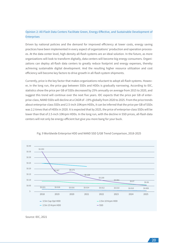## Opinion 2: All-Flash Data Centers Facilitate Green, Energy-Effective, and Sustainable Development of Enterprises

Driven by national policies and the demand for improved efficiency at lower costs, energy saving practices have been implemented in every aspect of organizations' production and operation processes. At the data center level, high-density all-flash systems are an ideal solution. In the future, as more organizations will look to transform digitally, data centers will become big energy consumers. Organizations can deploy all-flash data centers to greatly reduce footprint and energy expenses, thereby achieving sustainable digital development. And the resulting higher resource utilization and cost efficiency will become key factors to drive growth in all-flash system shipments.

Currently, price is the key factor that makes organizations reluctant to adopt all-flash systems. However, in the long run, the price gap between SSDs and HDDs is gradually narrowing. According to IDC, statistics show the price per GB of SSDs decreased by 25% annually on average from 2015 to 2020, and suggest this trend will continue over the next five years. IDC expects that the price per GB of enterprise-class, NAND SSDs will decline at a CAGR of -19% globally from 2020 to 2025. From the price trends about enterprise-class SSDs and 2.5-inch 10Krpm HDDs, it can be inferred that the price per GB of SSDs was 2.2 times that of HDDs in 2020. It is expected that by 2025, the price of enterprise-class SSDs will be lower than that of 2.5-inch 10Krpm HDDs. In the long run, with the decline in SSD prices, all-flash data centers will not only be energy-efficient but give you more bang for your buck.



Fig. 9 Worldwide Enterprise HDD and NAND SSD \$/GB Trend Comparison, 2018-2025

Source: IDC, 2021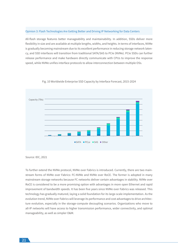#### Opinion 3: Flash Technologies Are Getting Better and Driving IP Networking for Data Centers

All-flash storage features better manageability and maintainability. In addition, SSDs deliver more flexibility in size and are available at multiple lengths, widths, and heights. In terms of interfaces, NVMe is gradually becoming mainstream due to its excellent performance in reducing storage network latency, and SSD interfaces will transition from traditional SATA/SAS to PCIe (NVMe). PCIe SSDs can further release performance and make hardware directly communicate with CPUs to improve the response speed, while NVMe unifies interface protocols to allow interconnection between multiple OSs.



Fig. 10 Worldwide Enterprise SSD Capacity by Interface Forecast, 2015-2024

To further extend the NVMe protocol, NVMe over Fabrics is introduced. Currently, there are two mainstream forms of NVMe over Fabrics: FC-NVMe and NVMe over RoCE. The former is adopted in many mainstream storage networks because FC networks deliver certain advantages in stability. NVMe over RoCE is considered to be a more promising option with advantages in more open Ethernet and rapid improvement of bandwidth speeds. It has been five years since NVMe over Fabrics was released. This technology has gradually matured, laying a solid foundation for its large-scale implementation. As the evolution trend, NVMe over Fabrics will leverage its performance and cost advantages to drive architecture evolution, especially in the storage-compute decoupling scenarios. Organizations who move to all-IP networks will have access to higher transmission performance, wider connectivity, and optimal manageability, as well as simpler O&M.

Source: IDC, 2021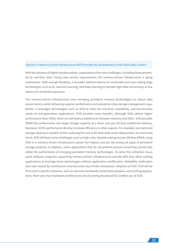#### Opinion 4: Memory-Driven Infrastructure Will Promote the Development of All-Flash Data Centers

With the advance of digital transformation, organizations face new challenges, including those presented by real-time data. Facing new service requirements, the memory-driven infrastructure is going mainstream. With enough flexibility, it provides optimal latency for workloads and uses cutting-edge technologies such as AI, machine learning, and deep learning to provide high data concurrency at low latency for workload expansion.

The memory-driven infrastructure uses emerging persistent memory technologies to reduce data access latency while delivering superior performance and enterprise-class storage management capabilities. It leverages technologies such as SCM to meet the real-time, availability, and functionality needs of next-generation applications. SCM provides many benefits. Although SSDs deliver higher performance than HDDs, there are still latency bottlenecks between memory and SSDs. SCM provides DRAM-like performance and larger storage capacity at a lower cost per GB than traditional memory. Moreover, SCM's performance density increases efficiency in other aspects. For example, less back-end storage capacity is needed, further reducing the cost of all-flash data center deployment. As a technical trend, SCM still faces some challenges, such as high costs. Despite costing less per GB than DRAM, using SCM in a memory-driven infrastructure causes the highest cost per GB among all types of persistent storage products. In addition, some applications that do not perform partial overwriting cannot fully utilize the performance of emerging persistent memory technologies. To solve this utilization issue, some software programs supporting memory-driven infrastructures provide APIs that allow existing applications to leverage these technologies without application modification. Reliability verification and risks caused by architecture reconstruction also hinder enterprises' adoption of SCM. SCM will be first used in specific scenarios, such as real-time workloads, tiered data solutions, and caching applications. More and more hardware architectures are also being developed for a better use of SCM.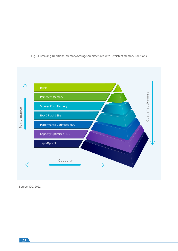

## Fig. 11 Breaking Traditional Memory/Storage Architectures with Persistent Memory Solutions

Source: IDC, 2021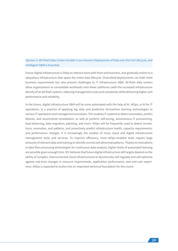## Opinion 5: All-Flash Data Centers Enable Cross-Domain Deployment of Data over the Full Lifecycle, and Intelligent O&M Is Essential

Future digital infrastructure is likely to interact more with front-end business, and gradually evolve to a ubiquitous infrastructure that spans the entire data lifecycle. Diversified deployments can both meet business requirements but also present challenges to IT infrastructure O&M. All-flash data centers allow organizations to consolidate workloads onto fewer platforms (with the increased infrastructure density of an all-flash system), reducing management costs and complexity while delivering higher unit performance and reliability.

In the future, digital infrastructure O&M will be more automated with the help of AI. AIOps, or AI for IT operations, is a practice of applying big data and predictive AI/machine learning technologies to various IT operations and management processes. This enables IT systems to detect anomalies, predict failures, and recommend remediation, as well as perform self-tuning, autonomous IT provisioning, load balancing, data migration, patching, and more. AIOps will be frequently used to detect correlations, anomalies, and patterns, and proactively predict infrastructure health, capacity requirements, and performance changes. It is increasingly the enabler of many cloud and digital infrastructure management tools and services. To improve efficiency, most AIOps-enabled tools require large amounts of relevant data and training to identify normal and abnormal patterns. Thanks to innovations in data flow processing technologies for continuous data analysis, higher levels of automated learning are possible given enough time. IDC believes that future digital infrastructure will largely depend on the ability of complex, interconnected cloud infrastructures to dynamically self-regulate and self-optimize against real-time changes in resource requirements, application performance, and end-user experience. AIOps is expected to evolve into an important technical foundation for this vision.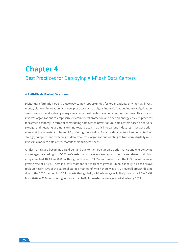## **Chapter 4**  Best Practices for Deploying All-Flash Data Centers

#### **4.1 All-Flash Market Overview**

Digital transformation opens a gateway to new opportunities for organizations, driving R&D investments, platform innovation, and new practices such as digital industrialization, industry digitization, smart services, and industry ecosystems, which will foster new consumption patterns. This process involves organizations to emphasize environmental protection and develop energy-efficient practices for a green economy. In terms of constructing data center infrastructure, data centers based on servers, storage, and networks are transforming toward goals that fit into various industries — better performance at lower costs and better ROI, offering more value. Because data centers handle centralized storage, compute, and switching of data resources, organizations wanting to transform digitally must invest in a modern data center that fits their business needs.

All-flash arrays are becoming a rigid demand due to their outstanding performance and energy saving advantages. According to IDC China's external storage system report, the market share of all-flash arrays reached 18.9% in 2020, with a growth rate of 24.0% and higher than the ESS market average growth rate of 17.5%. There is plenty room for AFA market to grow in China. Globally, all-flash arrays took up nearly 40% of the external storage market, of which there was a 4.0% overall growth decline due to the 2020 pandemic. IDC forecasts that globally all-flash arrays will likely grow at a 7.5% CAGR from 2020 to 2024, accounting for more than half of the external storage market sales by 2024.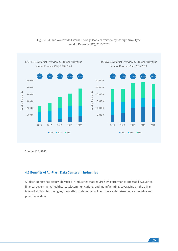

## Fig. 12 PRC and Worldwide External Storage Market Overview by Storage Array Type Vendor Revenue (\$M), 2016-2020

Source: IDC, 2021

### **4.2 Benefits of All-Flash Data Centers in Industries**

All-flash storage has been widely used in industries that require high performance and stability, such as finance, government, healthcare, telecommunications, and manufacturing. Leveraging on the advantages of all-flash technologies, the all-flash data center will help more enterprises unlock the value and potential of data.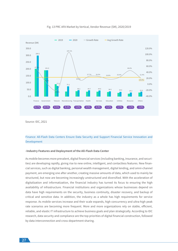

Fig. 13 PRC AFA Market by Vertical, Vendor Revenue (\$M), 2020/2019

Source: IDC, 2021

## Finance: All-Flash Data Centers Ensure Data Security and Support Financial Service Innovation and Development

#### **-Industry Features and Deployment of the All-Flash Data Center**

As mobile becomes more prevalent, digital financial services (including banking, insurance, and securities) are developing rapidly, giving rise to new online, intelligent, and contactless features. New financial services, such as digital banking, personal wealth management, digital lending, and omni-channel payment, are emerging one after another, creating massive amounts of data, which used to mainly be structured, but now are becoming increasingly unstructured and diversified. With the acceleration of digitalization and informatization, the financial industry has turned its focus to ensuring the high availability of infrastructure. Financial institutions and organizations whose businesses depend on data have high requirements on the security, business continuity, disaster recovery, and backup of critical and sensitive data. In addition, the industry as a whole has high requirements for service response. As mobile services increase and their scale expands, high concurrency and ultra-high peak rate scenarios are becoming more frequent. More and more organizations rely on stable, efficient, reliable, and elastic IT infrastructure to achieve business goals and plan strategically. According to IDC research, data security and compliance are the top priorities of digital financial construction, followed by data interconnection and cross-department sharing.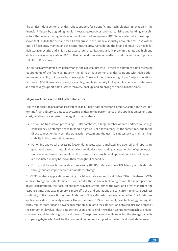The all-flash data center provides robust support for scientific and technological innovation in the financial industry by upgrading media, integrating resources, and reorganizing and building an architecture that meets the digital development needs of enterprises. IDC China's external storage report shows that in 2020, the demand for all-flash arrays in the financial industry accounted for 32.7% of the total all-flash array market, and this continues to grow. Considering the financial industry's needs for high storage security and a high data access rate, organizations usually prefer mid-range and high-end all-flash storage arrays. About 70% of their expenditure goes on all-flash products with a unit price of 100,000 USD or above.

The all-flash array offers high performance and a low failure rate. To meet the different data processing requirements of the financial industry, the all-flash data center provides solutions with high performance and stability to improve business agility. These solutions deliver high input/output operations per second (IOPS), low latency, easy scalability, and high security for key applications and databases, and effectively support data disaster recovery, backup, and archiving of financial institutions.

#### **-Major Workloads in the All-Flash Data Center**

Take the application of a database system in an all-flash data center for example. A stable and high-performing financial service database system is critical to the performance of the application system, and a fast, reliable storage system is integral to the database.

- For online transaction processing (OLTP) databases, a large number of data updates cause high concurrency, so storage needs to handle high IOPS at a low latency. At the same time, due to the direct connection between the transaction system and the user, it is necessary to maintain high stability in the transaction process.
- For online analytical processing (OLAP) databases, data is analyzed and queried, and reports are generated based on multiple dimensions to aid decision-making. A large number of query operations have certain requirements on the overall processing time of application tasks. Disk systems are evaluated mainly based on their throughput capability.
- For hybrid transaction/analytical processing (HTAP) databases, low I/O latency and high data throughput are important requirements for storage.

For OLTP database applications running in all-flash data centers, local NVMe SSDs or high-end NVMe all-flash storage are suitable choices. Compared with traditional technologies with the same space and power consumption, the flash technology provides several times the IOPS and greatly shortens the response time. Database memory is more efficient, and operations are concurrent to ensure business continuity of the transaction system. End-to-end NVMe all-flash storage is required for OLAP database applications, due to capacity reasons. Under the same IOPS requirement, flash technology can significantly reduce footprint and power consumption. Similar to the competition between disks and tapes at the component level, all-flash data centers using end-to-end NVMe flash technology can achieve higher concurrency, higher throughput, and lower I/O response latency while reducing the storage capacity cost per gigabyte, which will be the dominant technology adopted in the future all-flash data center.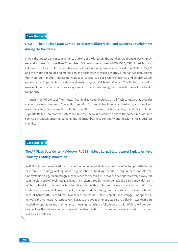### **Case Studies**

## **ITAU⸺The All-Flash Data Center Facilitates Collaboration and Business Development during the Pandemic**

ITAU is the largest bank in Latin America and one of the largest in the world. It has about 96,000 employees and is present in more than 20 countries. Following the outbreak of COVID-19, ITAU closed its physical branches. As a result, the number of employees working remotely increased from 3,000 to 22,000 and the volume of online and mobile banking businesses increased sharply. ITAU has two data centers that were built in 2014. Increasing workloads caused sub-par system efficiency and service system performance. In particular, the statistical analysis system (SAS) was affected. This limited the performance of the core debit card service system and made overcoming the storage bottleneck the bank's top priority.

Through Proof of Concept (PoC) tests, ITAU finalized and deployed an all-flash solution that provides stable storage performance. The all-flash solution features NVMe, innovative hardware, and intelligent algorithms, fully unleashing the potential of all-flash. In terms of data reliability, the all-flash solution supports RAID-TP so that the system can tolerate the failure of three disks at the same time with zero service disruption, ensuring banking and financial business continuity and mission-critical business stability.

#### **Case Studies**

## **The All-Flash Data Center NVMe over RoCE Enables a Large State-owned Bank to Achieve Industry-Leading Innovation**

In 2018, a large state-owned bank made "technology-led digitalization" one of its top priorities in the new round of strategy-making. As the digitalization of banking speeds up, requirements for information systems also get increasingly higher. Since the existing FC network develops relatively slowly, the commercial network technology still hasn't broken through the bottleneck of a 32G-bandwidth, so it might be hard for the current bandwidth to deal with the future business development. With the continuous expansion of business scale, it is expected that storage will face problems due to the bottleneck of bandwidth. Second, the two sets of networks - for customers and storage - adopt the IP network and FC network, respectively. Because the two technology stacks are different, two teams are needed for operation and maintenance, meaning that when a failure occurs, a lot of time will be spent on checking the network connection, and the identification of the problem and clarification of responsibilities are delayed.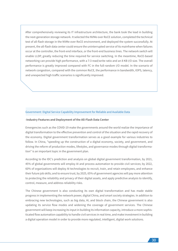After comprehensively reviewing its IT infrastructure architecture, the bank took the lead in building the next-generation storage network. It selected the NVMe over RoCE solution, completed the technical test of all-flash storage in the NVMe over RoCE environment, and deployed the system successfully. At present, the all-flash data center could ensure the uninterrupted service of its mainframe when failures occur at the controller, the front-end interface, or the front-end business lines. The network switch will enable LLDP, greatly reducing the time required for service switching. In the meantime, RoCE-based networking can provide high performance, with a 7:3 read/write ratio and an 8 KB I/O size. The overall performance is greatly improved compared with FC in the full-random I/O model. In the scenario of network congestion, compared with the common RoCE, the performance in bandwidth, IOPS, latency, and unexpected high traffic scenarios is significantly improved.

#### Government: Digital Service Capability Improvement for Reliable and Available Data

#### **-Industry Features and Deployment of the All-Flash Data Center**

Emergencies such as the COVID-19 make the governments around the world realize the importance of digital transformation to the effective prevention and control of the situation and the rapid recovery of the economy. Digital government transformation serves as a good example for various industries to follow. In China, "speeding up the construction of a digital economy, society, and government, and driving the reform of production modes, lifestyles, and governance modes through digital transformation" is an important topic in the government plan.

According to the IDC's prediction and analysis on global digital government transformation, by 2021, 45% of global governments will employ AI and process automation to provide civil services; by 2022, 60% of organizations will deploy AI technologies to recruit, train, and retain employees, and enhance their future job skills; and to ensure trust, by 2025, 65% of government agencies will pay more attention to protecting the reliability and privacy of their digital assets, and apply predictive analysis to identify, control, measure, and address reliability risks.

The Chinese government is also conducting its own digital transformation and has made stable progress in implementing the network power, digital China, and smart society strategies. In addition to embracing new technologies, such as big data, AI, and block chain, the Chinese government is also updating its service flow modes and widening the coverage of government services. The Chinese government will keep increasing its input in building its information capacity, introduce a more sophisticated flow automation capability to handle civil services in real time, and make investment in building a digital operation model in order to provide more regulated, intelligent, digital work solutions.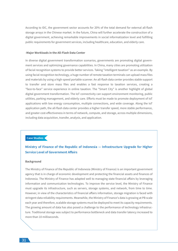According to IDC, the government sector accounts for 20% of the total demand for external all-flash storage arrays in the Chinese market. In the future, China will further accelerate the construction of a digital government, achieving remarkable improvements in social informatization level and fulfilling public requirements for government services, including healthcare, education, and elderly care.

#### **-Major Workloads in the All-Flash Data Center**

In diverse digital government transformation scenarios, governments are promoting digital government services and optimizing governance capabilities. In China, many cities are promoting utilization of facial recognition systems to provide better services. Taking "intelligent taxation" as an example. By using facial recognition technology, a huge number of remote taxation terminals can upload mass files and materials by using a high-speed portable scanner. An all-flash data center provides stable support to transfer and store mass files and enables a fast response to taxation services, creating a "face-to-face" service experience in online taxation. The "Smart City" is another highlight of global digital government transformation. The IoT connectivity can support environment monitoring, public utilities, parking management, and elderly care. Efforts must be made to promote deployment of IoT applications with low energy consumption, multiple connections, and wide coverage. Along the IoT application path, the all-flash data center provides a higher transfer speed, more stable performance, and greater cost-effectiveness in terms of network, compute, and storage, across multiple dimensions, including data acquisition, transfer, analysis, and application.

## **Case Studies**

## **Ministry of Finance of the Republic of Indonesia — Infrastructure Upgrade for Higher Service Level of Government Affairs**

#### **Background**

The Ministry of Finance of the Republic of Indonesia (Ministry of Finance) is an important government agency that is in charge of economic development and protecting the financial assets and finances of Indonesia. The Ministry of Finance has adapted well to managing state financial affairs by leveraging information and communication technologies. To improve the service level, the Ministry of Finance must upgrade its infrastructure, such as servers, storage systems, and network, from time to time. However, in view of the characteristics of financial affairs information, storage migration is faced with stringent data reliability requirements. Meanwhile, the Ministry of Finance's data is growing at PB scale each year and therefore, scalable storage systems must be deployed to meet its capacity requirements. The growing amount of data has also posed a challenge to the performance of technology infrastructure. Traditional storage was subject to performance bottleneck and data transfer latency increased to more than 10 milliseconds.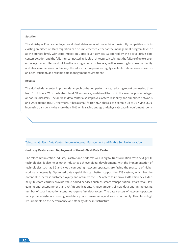#### **Solution**

The Ministry of Finance deployed an all-flash data center whose architecture is fully compatible with its existing architecture. Data migration can be implemented either at the management program level or at the storage level, with zero impact on upper layer services. Supported by the active-active data centers solution and the fully interconnected, reliable architecture, it tolerates the failure of up to seven out of eight controllers and full load balancing among controllers, further ensuring business continuity and always-on services. In this way, the infrastructure provides highly available data services as well as an open, efficient, and reliable data management environment.

#### **Results**

The all-flash data center improves data synchronization performance, reducing report processing time from 5 to 2 hours. With the highest level DR assurance, no data will be lost in the event of power outages or natural disasters. The all-flash data center also improves system reliability and simplifies networks and O&M operations. Furthermore, it has a small footprint. A chassis can contain up to 36 NVMe SSDs, increasing disk density by more than 40% while saving energy and physical space in equipment rooms.

#### Telecom: All-Flash Data Centers Improve Internal Management and Enable Service Innovation

#### **-Industry Features and Deployment of the All-Flash Data Center**

The telecommunication industry is active and performs well in digital transformation. With next-gen IT technologies, it also helps other industries achieve digital development. With the implementation of technologies such as 5G and cloud computing, telecom operators are facing the pressure of higher workloads internally. Optimized data capabilities can better support the BSS system, which has the potential to increase customer loyalty and optimize the OSS system to improve O&M efficiency. Externally, telecom carriers provide value-added services such as smart transportation, smart retail, IoV, gaming and entertainment, and AR/VR applications. A huge amount of new data and an increasing number of data innovation scenarios require fast data access. The data centers of telecom operators must provide high-concurrency, low-latency data transmission, and service continuity. This places high requirements on the performance and stability of the infrastructure.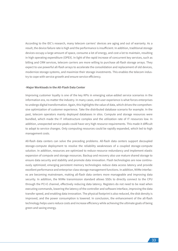According to the IDC's research, many telecom carriers' devices are aging and out of warranty. As a result, the device failure rate is high and the performance is insufficient. In addition, traditional storage devices occupy a large amount of space, consume a lot of energy, and cost a lot to maintain, resulting in high operating expenditure (OPEX). In light of the rapid increase of concurrent key services, such as billing and CRM services, telecom carriers are more willing to purchase all-flash storage arrays. They expect to use powerful all-flash arrays to accelerate the consolidation and replacement of old devices, modernize storage systems, and maximize their storage investments. This enables the telecom industry to cope with service growth and ensure service efficiency.

#### **-Major Workloads in the All-Flash Data Center**

Improving customer loyalty is one of the key KPIs in emerging value-added service scenarios in the information era, no matter the industry. In many cases, end-user experience is what forces enterprises to undergo digital transformation. Again, this highlights the value of data, which drives the comprehensive optimization of customer experience. Take the distributed database scenario for example. In the past, telecom operators mainly deployed databases in silos. Compute and storage resources were bundled, which made the IT infrastructure complex and the utilization rate of IT resources low. In addition, unexpected service peaks could have very high resource requirements. This made it difficult to adapt to service changes. Only computing resources could be rapidly expanded, which led to high management costs.

All-flash data centers can solve the preceding problems. All-flash data centers support decoupled storage-compute deployment to resolve the reliability weaknesses of a coupled storage-compute solution. In addition, resources are optimized to reduce resource redundancy and implement elastic expansion of compute and storage resources. Backup and recovery also use mature shared storage to ensure data security and stability and promote data innovation. Flash technologies are now continuously optimized; emerging persistent memory technologies reduce data access latency and provide excellent performance and enterprise-class storage management functions. In addition, NVMe interfaces are becoming mainstream, making all-flash data centers more manageable and improving data security. In addition, the NVMe transmission standard allows SSDs to directly connect to the CPU through the PCI-E channel, effectively reducing data latency. Registers do not need to be read when executing commands, lowering the latency of the controller and software interface, improving the data transfer speed, and enabling data innovation. The physical footprint is also reduced, the disk density is improved, and the power consumption is lowered. In conclusion, the enhancement of the all-flash technology helps users reduce costs and increase efficiency while achieving the ultimate goals of being green and saving energy.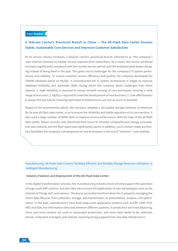## **Case Studies**

## **A Telecom Carrier's Provincial Branch in China — The All-Flash Data Center Ensures Stable, Sustainable Core Services and Improves Customer Satisfaction**

As its service volume increases, a telecom carrier's provincial branch (referred to as "the company") uses Internet channels to handle service requests from subscribers. As a result, the service workload increases significantly compared with the counter service period, and the workload peak keeps changing instead of being fixed in the past. This gives rise to challenges for the company's IT system performance and stability. To ensure customer service efficiency and quality, the company developed the TeleDB database based on MySQL. It reconstructed the IT system architecture in stages to improve database reliability and automate O&M, during which the company faced challenges from three aspects: 1. High reliability is required to ensure smooth running of core businesses covering a wide range of end-users; 2. Agility is required to meet the development of new business; 3. Cost-effectiveness is always the key task by choosing optimized architectures to say cost as much as possible.

Based on the requirements above, the company adopted a decoupled storage-compute architecture for its new all-flash data center, so as to ensure the reliability and stable operation of its core services. It also used a large number of NVMe SSDs to improve service performance. With the help of the all-flash data center, failure recovery was shortened from hours to minutes; comprehensive energy consumption was reduced, and the floor space was significantly saved. In addition, such a future-ready architecture facilitates the company's development of new businesses in the era of "Internet+" and mobility.

### Manufacturing: All-Flash Data Centers Facilitate Efficient and Reliable Storage Resource Utilization in Intelligent Manufacturing

#### **-Industry Features and Deployment of the All-Flash Data Center**

In the digital transformation process, the manufacturing industry must not only support the operation of large-scale ERP systems, but also take into account the application of new technologies such as the Internet of Things (IoT) and sensors. The key to successful transformation lies in properly managing the entire data lifecycle, from collection, storage, and transmission, to presentation, analysis, and optimization. In the past, manufacturers have built large-scale application systems such as ERP, CRM, PLM, MES and EDA, but information silos exist between different systems. In production and manufacturing, more and more sensors are used in automated production, and more data needs to be collected, stored, computed, managed, and utilized, requiring strong support from new data infrastructure.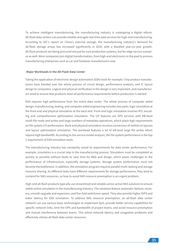To achieve intelligent manufacturing, the manufacturing industry is undergoing a digital reform. All-flash data centers can provide reliable and agile real-time data services for high-end manufacturing. According to IDC's report on China's external storage, the manufacturing industry's demand for all-flash storage arrays has increased significantly in 2020, with a doubled year-on-year growth. All-flash products are being procured not just for core production systems, but for edge service scenarios as well. More companies join digital transformation, from high-end electronics in the past to process manufacturing enterprises such as car and footwear manufacturers now.

#### **-Major Workloads in the All-Flash Data Center**

Taking the application of electronic design automation (EDA) tools for example. Chip product manufacturers have handed over the whole process of circuit design, performance analysis, and IC layout design to computers. Logical and physical verification in the design is very important, and manufacturers need to ensure that products meet all performance requirements before production is started.

EDA requires high performance from the entire data center. The whole process of computer aided design, manufacturing, testing, and computer aided engineering includes two parts: logic simulation at the front end and physical simulation at the back end. Front-end logic simulation involves RTL encoding and comprehensive optimization simulation. The I/O features are OPS services with KB-level small-file reads and writes and large numbers of metadata operations, which place high requirements on file system I/O performance. Back-end physical simulation involves conversion of netlists to layouts and layout optimization simulation. The workload features a lot of GB-level large file writes which require high bandwidth. According to the service model analysis, the file system performance is the top 1 requirement of EDA simulation tools.

The manufacturing industry has constantly raised its requirements for data center performance. For example, simulation is a crucial step in the manufacturing process. Simulation must be completed as quickly as possible without faults to save time for R&D and design, which poses challenges to the performance of infrastructure, especially storage systems. Storage system performance must not become the bottleneck. In addition, the simulation program requires parallel multi-tasking and storage resource sharing. As different tasks have different requirements for storage performance, they tend to contend for NAS resources, so how to avoid NAS resource preemption is an urgent problem.

High-end all-flash products typically use streamlined and reliable active-active NAS solutions to ensure stable online simulation in the manufacturing industry. The solutions feature automatic failover, recovery, smooth upgrade and expansion, and five-fold switchover speed. They also provide higher IOPS and lower latency for EDA simulation. To address NAS resource preemption, an all-flash data center network can use various basic technologies to implement QoS, provide better service capabilities for specific network links, limit the OPS and bandwidth of project teams, and avoid resource preemption and mutual interference between teams. This solves network latency and congestion problems and effectively utilizes all-flash data center resources.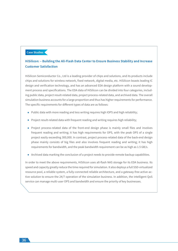## **Case Studies**

## **HiSilicon: ‒ Building the All-Flash Data Center to Ensure Business Stability and Increase Customer Satisfaction**

HiSilicon Semiconductor Co., Ltd is a leading provider of chips and solutions, and its products include chips and solutions for wireless network, fixed network, digital media, etc. HiSilicon boasts leading IC design and verification technology, and has an advanced EDA design platform with a sound development process and specifications. The EDA data of HiSilicon can be divided into four categories, including public data, project result-related data, project process-related data, and archived data. The overall simulation business accounts for a large proportion and thus has higher requirements for performance. The specific requirements for different types of data are as follows:

- Public data with more reading and less writing requires high IOPS and high reliability;
- Project result-related data with frequent reading and writing requires high reliability;
- Project process-related data of the front-end design phase is mainly small files and involves frequent reading and writing; it has high requirements for OPS, with the peak OPS of a single project easily exceeding 300,000. In contrast, project process-related data of the back-end design phase mainly consists of big files and also involves frequent reading and writing; it has high requirements for bandwidth, and the peak bandwidth requirement can be as high as 1.5 GB/s.
- Archived data marking the conclusion of a project needs to provide remote backup capabilities.

In order to meet the above requirements, HiSilicon uses all-flash NAS storage for its EDA business. Its speed and capacity greatly reduce the time required for simulation. It also deploys a full SSD-virtualized resource pool, a reliable system, a fully-connected reliable architecture, and a gateway-free active-active solution to ensure the 24/7 operation of the simulation business. In addition, the intelligent QoS service can manage multi-user OPS and bandwidth and ensure the priority of key businesses.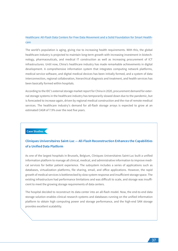## Healthcare: All-Flash Data Centers for Free Data Movement and a Solid Foundation for Smart Healthcare

The world's population is aging, giving rise to increasing health requirements. With this, the global healthcare industry is projected to maintain long-term growth with increasing investment in biotechnology, pharmaceuticals, and medical IT construction as well as increasing procurement of ICT infrastructures. Until now, China's healthcare industry has made remarkable achievements in digital development. A comprehensive information system that integrates computing network platforms, medical service software, and digital medical devices has been initially formed, and a system of data interconnection, regional collaboration, hierarchical diagnosis and treatment, and health services has been basically formed within hospitals.

According to the IDC's external storage market report for China in 2020, procurement demand for external storage systems in the healthcare industry has temporarily slowed down due to the pandemic, but is forecasted to increase again, driven by regional medical construction and the rise of remote medical services. The healthcare industry's demand for all-flash storage arrays is expected to grow at an estimated CAGR of 7.9% over the next five years.

## **Case Studies**

## **Cliniques Universitaires Saint-Luc — All-Flash Reconstruction Enhances the Capabilities of a Unified Data Platform**

As one of the largest hospitals in Brussels, Belgium, Cliniques Universitaires Saint-Luc built a unified information platform to manage all clinical, medical, and administrative information to improve medical services for better patient experience. The subsystem includes a series of applications such as databases, virtualization platforms, file sharing, email, and office applications. However, the rapid growth of medical services is bottlenecked by slow system response and insufficient storage space. The existing infrastructure had performance limitations and was difficult to scale, and storage was insufficient to meet the growing storage requirements of data centers.

The hospital decided to reconstruct its data center into an all-flash model. Now, the end-to-end data storage solution enables clinical research systems and databases running on the unified information platform to obtain high computing power and storage performance, and the high-end SAN storage provides excellent scalability.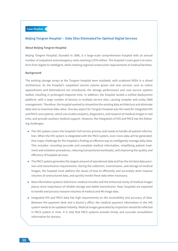## **Case Studies**

#### **Beijing Tongren Hospital — Data Silos Eliminated for Optimal Digital Services**

#### **About Beijing Tongren Hospital**

Beijing Tongren Hospital, founded in 1886, is a large-scale comprehensive hospital with an annual number of outpatient and emergency visits reaching 2.876 million. The hospital's main goal is to transform from digital to intelligent, while meeting regional construction requirements of medical facilities.

#### **Background**

The existing storage arrays at the Tongren Hospital were outdated, with scattered HDDs in a siloed architecture. As the hospital's outpatient service volume grows and new services such as online appointment and telemedicine are introduced, the storage performance and core service systems stalled, resulting in prolonged response time. In addition, the hospital lacked a unified deployment platform, with a large number of devices in multiple service silos, causing complex and costly O&M management. Therefore, the hospital wanted to streamline the existing data architecture and eliminate data silos to maximize data value. One key aspect for Tongren Hospital was the need for integrated HIS and PACS core systems, which can enable analytics, diagnostics, and research of medical images in real time, and provide auxiliary medical support. However, the integration of HIS and PACS has the following challenges:

- The HIS system covers the hospital's full service process and needs to handle all patient information. When the HIS system is integrated with the PACS system, even more data will be generated. One major challenge for the hospital is finding an effective way to intelligently manage daily data. This includes: recording accurate and complete medical information, simplifying patient treatment and visitation procedures, reducing transactional workloads, and improving the quality and efficiency of hospital services.
- The PACS system generates the largest amount of operational data and has the strictest data precision and transmission requirements. During the collection, transmission, and storage of medical images, the hospital must address the issues of how to efficiently and accurately store massive volumes of unstructured data, and quickly invoke these data when necessary.
- New information systems (electronic medical records) and the enhanced clarity of medical images places more importance of reliable storage and stable transmission. Now, hospitals are expected to handle and process massive volumes of medical and 4K image data.
- Integrated HIS and PACS data has high requirements on the accessibility and accuracy of data. Between the payment desk and a doctor's office, the medical payment information in the HIS system needs to be updated instantly. Medical images generated by inspection should be reflected in PACS system in time. It is vital that PACS systems provide timely and accurate consultation information for doctors.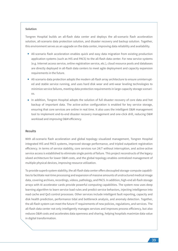#### **Solution**

Tongren Hospital builds an all-flash data center and deploys the all-scenario flash acceleration solution, all-scenario data protection solution, and disaster recovery and backup solution. Together, this environment serves as an upgrade on the data center, improving data reliability and availability.

- All-scenario flash acceleration enables quick and easy data migration from existing production application systems (such as HIS and PACS) to the all-flash data center. For new service systems (e.g. Internet access service, online registration service, etc.), cloud resource pools and databases are directly deployed in all-flash data centers to meet agile deployment and capacity expansion requirements in the future.
- All-scenario data protection adopts the modern all-flash array architecture to ensure uninterrupted and stable service running, and uses hard disk wear and anti-wear leveling technologies to minimize service failures, meeting data protection requirements in large-capacity storage scenarios.
- In addition, Tongren Hospital adopts the solution of full disaster recovery of core data and hot backup of important data. The active-active configuration is enabled for key service storage, ensuring that core services are online in real time. It also uses the intelligent O&M management tool to implement end-to-end disaster recovery management and one-click drill, reducing O&M workload and improving O&M efficiency.

#### **Results**

With all-scenario flash acceleration and global topology visualized management, Tongren Hospital integrated HIS and PACS systems, improved storage performance, and tripled outpatient registration efficiency. In terms of service stability, core services run 24/7 without interruption, and active-active service access is established to eliminate single points of failure. This project reconstructs of the legacy siloed architecture for lower O&M costs, and the global topology enables centralized management of multiple physical devices, improving resource utilization.

To provide superb system stability, the all-flash data center offers decoupled storage-compute capabilities to facilitate real-time processing and expansion of massive amounts of unstructured medical image data, covering archives, recordings, videos, pathology, and PACS. In addition, high-end all-flash storage arrays with AI accelerator cards provide powerful computing capabilities. The system now uses deep learning algorithm to learn service load rules and predict service behaviors, injecting intelligence into read cache and QoS control processes. Other services include intelligent fault reporting, capacity and disk health prediction, performance tidal and bottleneck analysis, and anomaly detection. Together, the all-flash system can meet the future IT requirements of new policies, regulations, and services. The all-flash data center not only intelligently manages services and improves process efficiency, but also reduces O&M costs and accelerates data openness and sharing, helping hospitals maximize data value in digital transformation.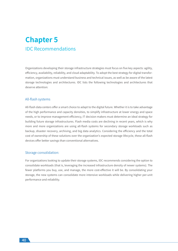## **Chapter 5** IDC Recommendations

Organizations developing their storage infrastructure strategies must focus on five key aspects: agility, efficiency, availability, reliability, and cloud adaptability. To adopt the best strategy for digital transformation, organizations must understand business and technical issues, as well as be aware of the latest storage technologies and architectures. IDC lists the following technologies and architectures that deserve attention:

#### All-flash systems

All-flash data centers offer a smart choice to adapt to the digital future. Whether it is to take advantage of the high performance and capacity densities, to simplify infrastructure at lower energy and space needs, or to improve management efficiency, IT decision makers must determine an ideal strategy for building future storage infrastructures. Flash media costs are declining in recent years, which is why more and more organizations are using all-flash systems for secondary storage workloads such as backup, disaster recovery, archiving, and big data analytics. Considering the efficiency and the total cost of ownership of these solutions over the organization's expected storage lifecycle, these all-flash devices offer better savings than conventional alternatives.

#### Storage consolidation:

For organizations looking to update their storage systems, IDC recommends considering the option to consolidate workloads (that is, leveraging the increased infrastructure density of newer systems). The fewer platforms you buy, use, and manage, the more cost-effective it will be. By consolidating your storage, the new systems can consolidate more intensive workloads while delivering higher per-unit performance and reliability.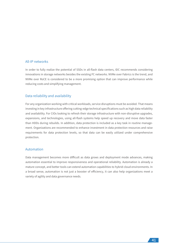## All-IP networks

In order to fully realize the potential of SSDs in all-flash data centers, IDC recommends considering innovations in storage networks besides the existing FC networks. NVMe over Fabrics is the trend, and NVMe over RoCE is considered to be a more promising option that can improve performance while reducing costs and simplifying management.

## Data reliability and availability

For any organization working with critical workloads, service disruptions must be avoided. That means investing in key infrastructure offering cutting-edge technical specifications such as high data reliability and availability. For CIOs looking to refresh their storage infrastructure with non-disruptive upgrades, expansions, and technologies, using all-flash systems help speed up recovery and move data faster than HDDs during rebuilds. In addition, data protection is included as a key task in routine management. Organizations are recommended to enhance investment in data protection resources and raise requirements for data protection levels, so that data can be easily utilized under comprehensive protection.

### Automation

Data management becomes more difficult as data grows and deployment mode advances, making automation essential to improve responsiveness and operational reliability. Automation is already a mature concept, and better tools can extend automation capabilities to hybrid cloud environments. In a broad sense, automation is not just a booster of efficiency, it can also help organizations meet a variety of agility and data governance needs.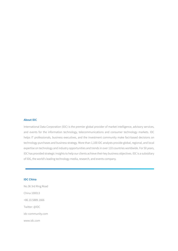#### **About IDC**

International Data Corporation (IDC) is the premier global provider of market intelligence, advisory services, and events for the information technology, telecommunications and consumer technology markets. IDC helps IT professionals, business executives, and the investment community make fact-based decisions on technology purchases and business strategy. More than 1,100 IDC analysts provide global, regional, and local expertise on technology and industry opportunities and trends in over 110 countries worldwide. For 50 years, IDC has provided strategic insights to help our clients achieve their key business objectives. IDC is a subsidiary of IDG, the world's leading technology media, research, and events company.

#### **IDC China**

No.36 3rd Ring Road China 100013 +86.10.5889.1666 Twitter: @IDC idc-community.com www.idc.com